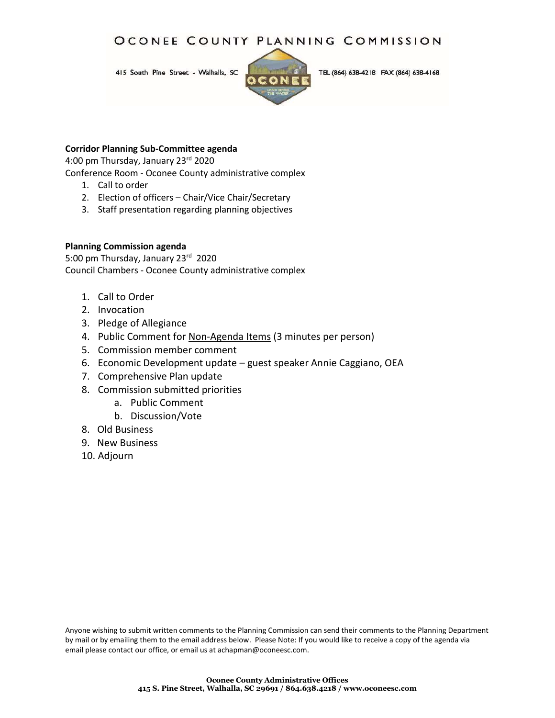## OCONEE COUNTY PLANNING COMMISSION

415 South Pine Street - Walhalla, SC



TEL (864) 638-4218 FAX (864) 638-4168

#### **Corridor Planning Sub-Committee agenda**

4:00 pm Thursday, January 23rd 2020

Conference Room - Oconee County administrative complex

- 1. Call to order
- 2. Election of officers Chair/Vice Chair/Secretary
- 3. Staff presentation regarding planning objectives

#### **Planning Commission agenda**

5:00 pm Thursday, January 23rd 2020 Council Chambers - Oconee County administrative complex

- 1. Call to Order
- 2. Invocation
- 3. Pledge of Allegiance
- 4. Public Comment for Non-Agenda Items (3 minutes per person)
- 5. Commission member comment
- 6. Economic Development update guest speaker Annie Caggiano, OEA
- 7. Comprehensive Plan update
- 8. Commission submitted priorities
	- a. Public Comment
	- b. Discussion/Vote
- 8. Old Business
- 9. New Business
- 10. Adjourn

Anyone wishing to submit written comments to the Planning Commission can send their comments to the Planning Department by mail or by emailing them to the email address below. Please Note: If you would like to receive a copy of the agenda via email please contact our office, or email us at achapman@oconeesc.com.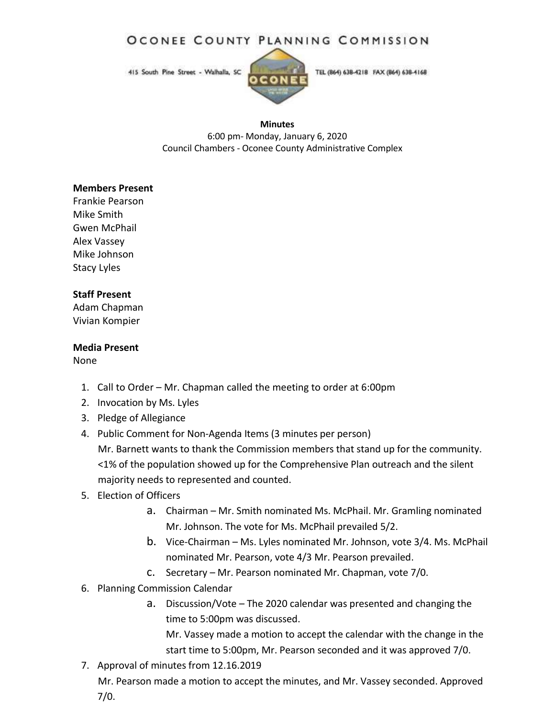## OCONEE COUNTY PLANNING COMMISSION

415 South Pine Street - Walhalla, SC



#### **Minutes**

6:00 pm- Monday, January 6, 2020 Council Chambers - Oconee County Administrative Complex

### **Members Present**

Frankie Pearson Mike Smith Gwen McPhail Alex Vassey Mike Johnson Stacy Lyles

### **Staff Present**

Adam Chapman Vivian Kompier

### **Media Present**

None

- 1. Call to Order Mr. Chapman called the meeting to order at 6:00pm
- 2. Invocation by Ms. Lyles
- 3. Pledge of Allegiance
- 4. Public Comment for Non-Agenda Items (3 minutes per person) Mr. Barnett wants to thank the Commission members that stand up for the community. <1% of the population showed up for the Comprehensive Plan outreach and the silent majority needs to represented and counted.

## 5. Election of Officers

- a. Chairman Mr. Smith nominated Ms. McPhail. Mr. Gramling nominated Mr. Johnson. The vote for Ms. McPhail prevailed 5/2.
- b. Vice-Chairman Ms. Lyles nominated Mr. Johnson, vote 3/4. Ms. McPhail nominated Mr. Pearson, vote 4/3 Mr. Pearson prevailed.
- c. Secretary Mr. Pearson nominated Mr. Chapman, vote 7/0.
- 6. Planning Commission Calendar
	- a. Discussion/Vote The 2020 calendar was presented and changing the time to 5:00pm was discussed.

Mr. Vassey made a motion to accept the calendar with the change in the start time to 5:00pm, Mr. Pearson seconded and it was approved 7/0.

7. Approval of minutes from 12.16.2019 Mr. Pearson made a motion to accept the minutes, and Mr. Vassey seconded. Approved 7/0.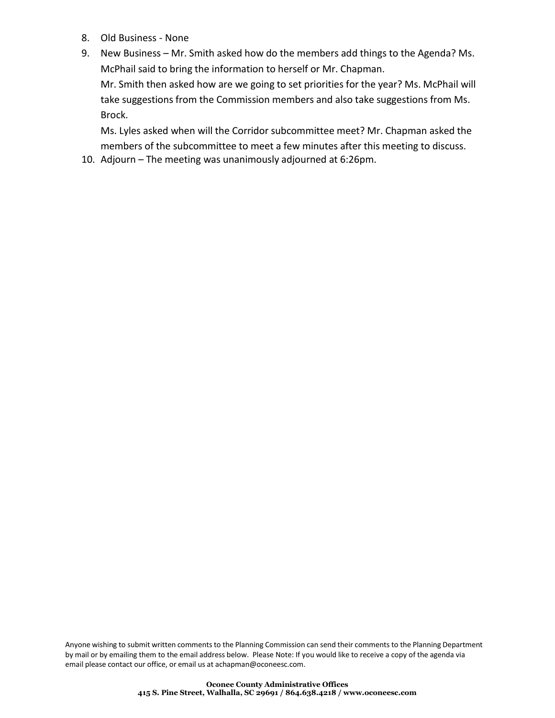- 8. Old Business None
- 9. New Business Mr. Smith asked how do the members add things to the Agenda? Ms. McPhail said to bring the information to herself or Mr. Chapman.

Mr. Smith then asked how are we going to set priorities for the year? Ms. McPhail will take suggestions from the Commission members and also take suggestions from Ms. Brock.

Ms. Lyles asked when will the Corridor subcommittee meet? Mr. Chapman asked the members of the subcommittee to meet a few minutes after this meeting to discuss.

10. Adjourn – The meeting was unanimously adjourned at 6:26pm.

Anyone wishing to submit written comments to the Planning Commission can send their comments to the Planning Department by mail or by emailing them to the email address below. Please Note: If you would like to receive a copy of the agenda via email please contact our office, or email us at [achapman@oconeesc.com.](mailto:achapman@oconeesc.com)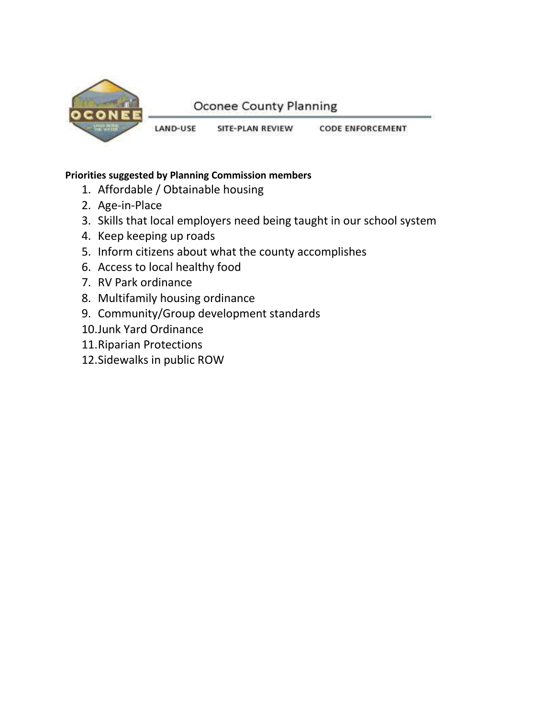

# **Oconee County Planning**

LAND-USE SITE-PLAN REVIEW **CODE ENFORCEMENT** 

## **Priorities suggested by Planning Commission members**

- 1. Affordable / Obtainable housing
- 2. Age-in-Place
- 3. Skills that local employers need being taught in our school system
- 4. Keep keeping up roads
- 5. Inform citizens about what the county accomplishes
- 6. Access to local healthy food
- 7. RV Park ordinance
- 8. Multifamily housing ordinance
- 9. Community/Group development standards
- 10.Junk Yard Ordinance
- 11.Riparian Protections
- 12.Sidewalks in public ROW